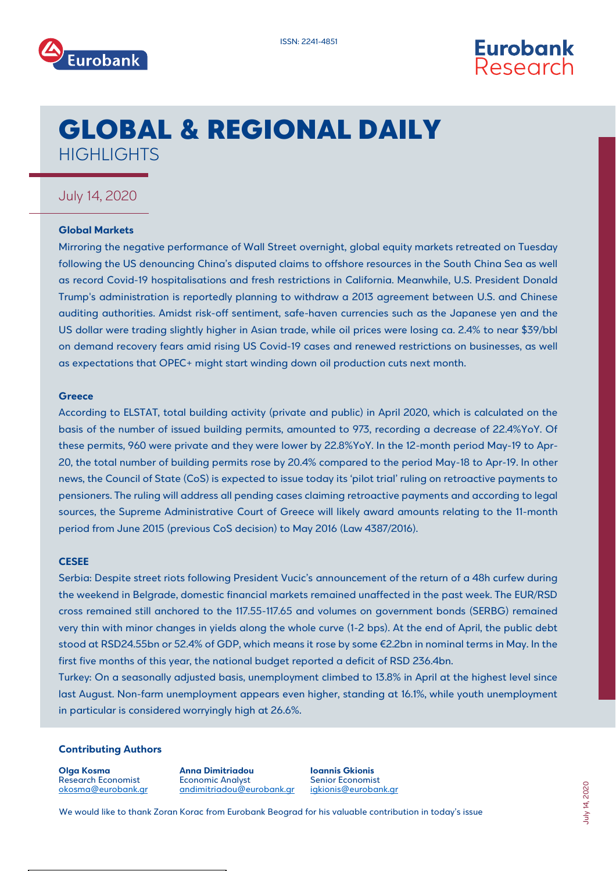



# GLOBAL & REGIONAL DAILY **HIGHLIGHTS**

### July 14, 2020

### **Global Markets**

Mirroring the negative performance of Wall Street overnight, global equity markets retreated on Tuesday following the US denouncing China's disputed claims to offshore resources in the South China Sea as well as record Covid-19 hospitalisations and fresh restrictions in California. Meanwhile, U.S. President Donald Trump's administration is reportedly planning to withdraw a 2013 agreement between U.S. and Chinese auditing authorities. Amidst risk-off sentiment, safe-haven currencies such as the Japanese yen and the US dollar were trading slightly higher in Asian trade, while oil prices were losing ca. 2.4% to near \$39/bbl on demand recovery fears amid rising US Covid-19 cases and renewed restrictions on businesses, as well as expectations that OPEC+ might start winding down oil production cuts next month.

### **Greece**

According to ELSTAT, total building activity (private and public) in April 2020, which is calculated on the basis of the number of issued building permits, amounted to 973, recording a decrease of 22.4%YoY. Of these permits, 960 were private and they were lower by 22.8%YoY. In the 12-month period May-19 to Apr-20, the total number of building permits rose by 20.4% compared to the period May-18 to Apr-19. In other news, the Council of State (CoS) is expected to issue today its 'pilot trial' ruling on retroactive payments to pensioners. The ruling will address all pending cases claiming retroactive payments and according to legal sources, the Supreme Administrative Court of Greece will likely award amounts relating to the 11-month period from June 2015 (previous CoS decision) to May 2016 (Law 4387/2016).

### **CESEE**

Serbia: Despite street riots following President Vucic's announcement of the return of a 48h curfew during the weekend in Belgrade, domestic financial markets remained unaffected in the past week. The EUR/RSD cross remained still anchored to the 117.55-117.65 and volumes on government bonds (SERBG) remained very thin with minor changes in yields along the whole curve (1-2 bps). At the end of April, the public debt stood at RSD24.55bn or 52.4% of GDP, which means it rose by some €2.2bn in nominal terms in May. In the first five months of this year, the national budget reported a deficit of RSD 236.4bn.

Turkey: On a seasonally adjusted basis, unemployment climbed to 13.8% in April at the highest level since last August. Non-farm unemployment appears even higher, standing at 16.1%, while youth unemployment in particular is considered worryingly high at 26.6%.

### **Contributing Authors**

**Olga Kosma** Research Economist okosma@eurobank.gr **Anna Dimitriadou** Economic Analyst andimitriado[u@eurobank.gr](mailto:sgogos@eurobank.gr) **Ioannis Gkionis** Senior Economist igkioni[s@eurobank.gr](mailto:igkionis@eurobank.gr)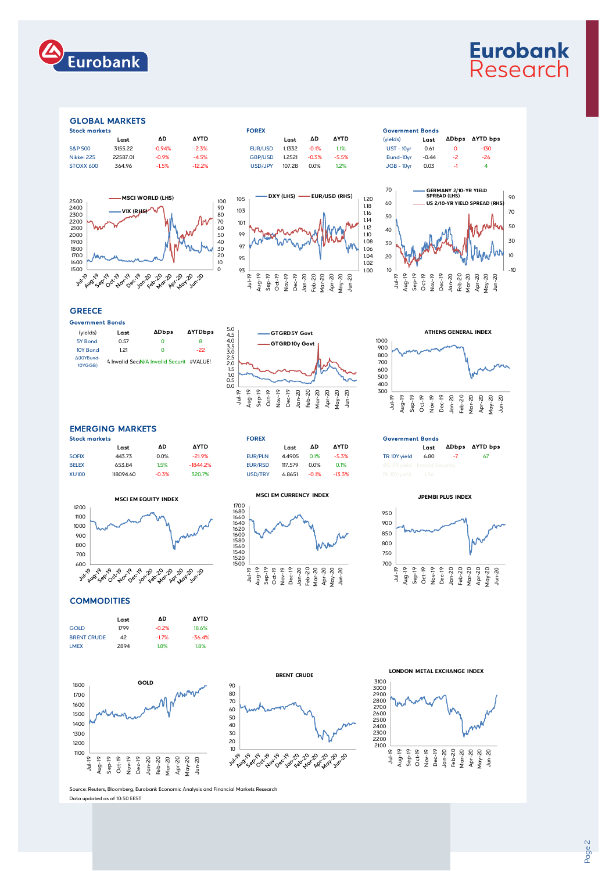

## **Eurobank** Research

### GLOBAL MARKETS

| <b>STOCK MORKETS</b> |          |             |                | FUKEA  |         |             |                   | Government Bonds |              |        |  |
|----------------------|----------|-------------|----------------|--------|---------|-------------|-------------------|------------------|--------------|--------|--|
| Last                 | ΔD       | <b>AYTD</b> |                | Last   | ΔD      | <b>AYTD</b> | (vields)          | Last             | <b>ADbps</b> | AYTD b |  |
| 3155.22              | $-0.94%$ | $-2.3%$     | EUR/USD        | 1.1332 | $-0.1%$ | 1.1%        | <b>UST - 10vr</b> | 0.61             |              | $-130$ |  |
| 22587.01             | $-0.9%$  | $-4.5%$     | <b>GBP/USD</b> | 1.2521 | $-0.3%$ | $-5.5%$     | Bund-10vr         | $-0.44$          | $-2$         | $-26$  |  |
| 364.96               | $-1.5%$  | $-12.2%$    | USD/JPY        | 107.28 | 0.0%    | 1.2%        | $JGB - 10vr$      | 0.03             |              |        |  |
|                      |          |             |                |        |         |             |                   |                  |              |        |  |









### **GREECE**

| Government Bonds      |                                           |              |                |
|-----------------------|-------------------------------------------|--------------|----------------|
| (yields)              | Last                                      | <b>ADbps</b> | <b>AYTDbps</b> |
| 5Y Bond               | 0.57                                      | Ω            | 8              |
| 10Y Bond              | 121                                       | n            | $-22$          |
| ∆(10YBund-<br>10YGGB) | A Invalid SeciN/A Invalid Securit #VALUE! |              |                |





### EMERGING MARKETS

| <b>Stock markets</b> |           |         |             | <b>FOREX</b>   |         |         |             | <b>Government Bonds</b> |                                     |            |     |
|----------------------|-----------|---------|-------------|----------------|---------|---------|-------------|-------------------------|-------------------------------------|------------|-----|
|                      | Last      | ΔD      | <b>AYTD</b> |                | Last    | ΔD      | <b>AYTD</b> |                         | Last                                | ADbps AYTD |     |
| <b>SOFIX</b>         | 443.73    | 0.0%    | $-21.9%$    | <b>EUR/PLN</b> | 4.4905  | 0.1%    | $-5.3%$     | TR 10Y vield            | 6.80                                | -7         | -67 |
| <b>BELEX</b>         | 653.84    | 1.5%    | $-1844.2%$  | EUR/RSD        | 117.579 | 0.0%    | 0.1%        |                         | <b>BG 8Y vield</b> Invalid Security |            |     |
| <b>XU100</b>         | 118094.60 | $-0.3%$ | 320.7%      | USD/TRY        | 6.8651  | $-0.1%$ | $-13.3\%$   |                         |                                     |            |     |















**COMMODITIES** 



**GOLD**



**LONDON METAL EXCHANGE INDEX**



.<br>e: Reuters, Bloomberg, Eurobank Economic Analysis and Financial Markets Research Jul-19<br>Jul-19 - 19 Aug-19 C<br>Sep-19 Oct-19 Oct-19 Oct-19 Oct-19 Apr-20<br>Dec-19 Dec-19 Apr-20 Jun-20 Jun-20 Apr-20 Apr-20 Jun-20 Jun-20 Jun-20 Jun-20 Jun-20 Jun-20 Jun-20 Jun-20 Jun-20

Data updated as of 10:50 EEST